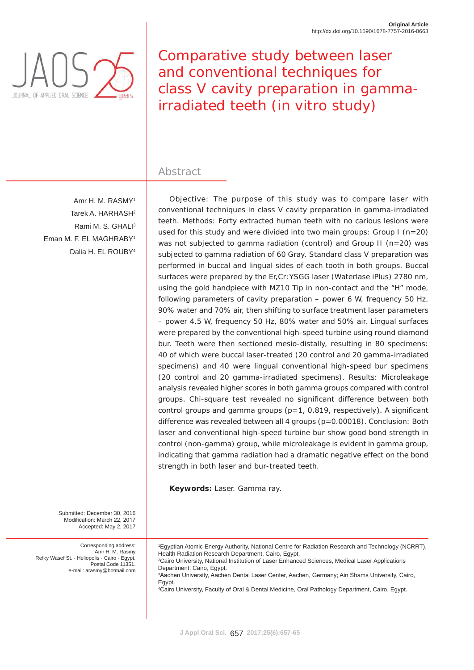

Comparative study between laser and conventional techniques for class V cavity preparation in gammairradiated teeth (*in vitro* study)

# Abstract

Amr H. M. RASMY1 Tarek A. HARHASH2 Rami M. S. GHALI<sup>3</sup> Eman M. F. EL MAGHRABY1 Dalia H. EL ROUBY4

Objective: The purpose of this study was to compare laser with conventional techniques in class V cavity preparation in gamma-irradiated teeth. Methods: Forty extracted human teeth with no carious lesions were used for this study and were divided into two main groups: Group I ( $n=20$ ) was not subjected to gamma radiation (control) and Group II (n=20) was subjected to gamma radiation of 60 Gray. Standard class V preparation was performed in buccal and lingual sides of each tooth in both groups. Buccal surfaces were prepared by the Er,Cr:YSGG laser (Waterlase iPlus) 2780 nm, using the gold handpiece with MZ10 Tip in non-contact and the "H" mode, following parameters of cavity preparation – power 6 W, frequency 50 Hz, 90% water and 70% air, then shifting to surface treatment laser parameters – power 4.5 W, frequency 50 Hz, 80% water and 50% air. Lingual surfaces were prepared by the conventional high-speed turbine using round diamond bur. Teeth were then sectioned mesio-distally, resulting in 80 specimens: 40 of which were buccal laser-treated (20 control and 20 gamma-irradiated specimens) and 40 were lingual conventional high-speed bur specimens (20 control and 20 gamma-irradiated specimens). Results: Microleakage analysis revealed higher scores in both gamma groups compared with control groups. Chi-square test revealed no significant difference between both control groups and gamma groups ( $p=1$ , 0.819, respectively). A significant difference was revealed between all 4 groups (p=0.00018). Conclusion: Both laser and conventional high-speed turbine bur show good bond strength in control (non-gamma) group, while microleakage is evident in gamma group, indicating that gamma radiation had a dramatic negative effect on the bond strength in both laser and bur-treated teeth.

**Keywords:** Laser. Gamma ray.

Submitted: December 30, 2016 Modification: March 22, 2017 Accepted: May 2, 2017

Corresponding address: Amr H. M. Rasmy Refky Wasef St. - Heliopolis - Cairo - Egypt. Postal Code 11351. e-mail: arasmy@hotmail.com

1 Egyptian Atomic Energy Authority, National Centre for Radiation Research and Technology (NCRRT), Health Radiation Research Department, Cairo, Egypt. 2 Cairo University, National Institution of Laser Enhanced Sciences, Medical Laser Applications Department, Cairo, Egypt. <sup>3</sup>Aachen University, Aachen Dental Laser Center, Aachen, Germany; Ain Shams University, Cairo, Egypt. 4 Cairo University, Faculty of Oral & Dental Medicine, Oral Pathology Department, Cairo, Egypt.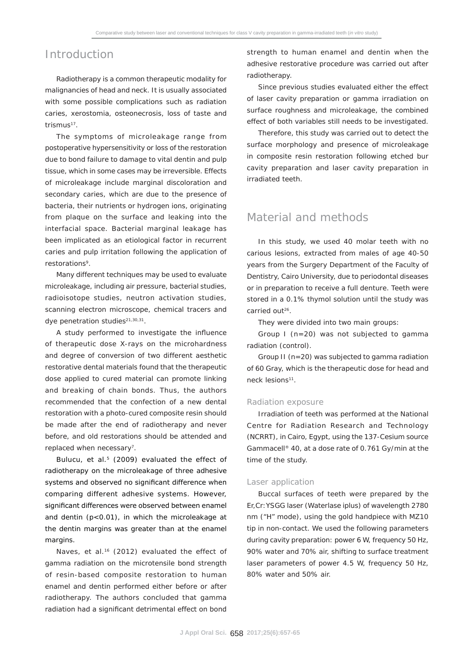## Introduction

Radiotherapy is a common therapeutic modality for malignancies of head and neck. It is usually associated with some possible complications such as radiation caries, xerostomia, osteonecrosis, loss of taste and trismus<sup>17</sup>.

The symptoms of microleakage range from postoperative hypersensitivity or loss of the restoration due to bond failure to damage to vital dentin and pulp tissue, which in some cases may be irreversible. Effects of microleakage include marginal discoloration and secondary caries, which are due to the presence of bacteria, their nutrients or hydrogen ions, originating from plaque on the surface and leaking into the interfacial space. Bacterial marginal leakage has been implicated as an etiological factor in recurrent caries and pulp irritation following the application of restorations<sup>9</sup>.

Many different techniques may be used to evaluate microleakage, including air pressure, bacterial studies, radioisotope studies, neutron activation studies, scanning electron microscope, chemical tracers and dye penetration studies<sup>21,30,31</sup>.

A study performed to investigate the influence of therapeutic dose X-rays on the microhardness and degree of conversion of two different aesthetic restorative dental materials found that the therapeutic dose applied to cured material can promote linking and breaking of chain bonds. Thus, the authors recommended that the confection of a new dental restoration with a photo-cured composite resin should be made after the end of radiotherapy and never before, and old restorations should be attended and replaced when necessary<sup>7</sup>.

Bulucu, et al.<sup>5</sup> (2009) evaluated the effect of radiotherapy on the microleakage of three adhesive systems and observed no significant difference when comparing different adhesive systems. However, significant differences were observed between enamel and dentin  $(p<0.01)$ , in which the microleakage at the dentin margins was greater than at the enamel margins.

Naves, et al.<sup>16</sup> (2012) evaluated the effect of gamma radiation on the microtensile bond strength of resin-based composite restoration to human enamel and dentin performed either before or after radiotherapy. The authors concluded that gamma radiation had a significant detrimental effect on bond

strength to human enamel and dentin when the adhesive restorative procedure was carried out after radiotherapy.

Since previous studies evaluated either the effect of laser cavity preparation or gamma irradiation on surface roughness and microleakage, the combined effect of both variables still needs to be investigated.

Therefore, this study was carried out to detect the surface morphology and presence of microleakage in composite resin restoration following etched bur cavity preparation and laser cavity preparation in irradiated teeth.

# Material and methods

In this study, we used 40 molar teeth with no carious lesions, extracted from males of age 40-50 years from the Surgery Department of the Faculty of Dentistry, Cairo University, due to periodontal diseases or in preparation to receive a full denture. Teeth were stored in a 0.1% thymol solution until the study was carried out26.

They were divided into two main groups:

Group I (n=20) was not subjected to gamma radiation (control).

Group II (n=20) was subjected to gamma radiation of 60 Gray, which is the therapeutic dose for head and neck lesions<sup>11</sup>.

#### Radiation exposure

Irradiation of teeth was performed at the National Centre for Radiation Research and Technology (NCRRT), in Cairo, Egypt, using the 137-Cesium source Gammacell*®* 40, at a dose rate of 0.761 Gy/min at the time of the study.

### Laser application

Buccal surfaces of teeth were prepared by the Er,Cr:YSGG laser (Waterlase iplus) of wavelength 2780 nm ("H" mode), using the gold handpiece with MZ10 tip in non-contact. We used the following parameters during cavity preparation: power 6 W, frequency 50 Hz, 90% water and 70% air, shifting to surface treatment laser parameters of power 4.5 W, frequency 50 Hz, 80% water and 50% air.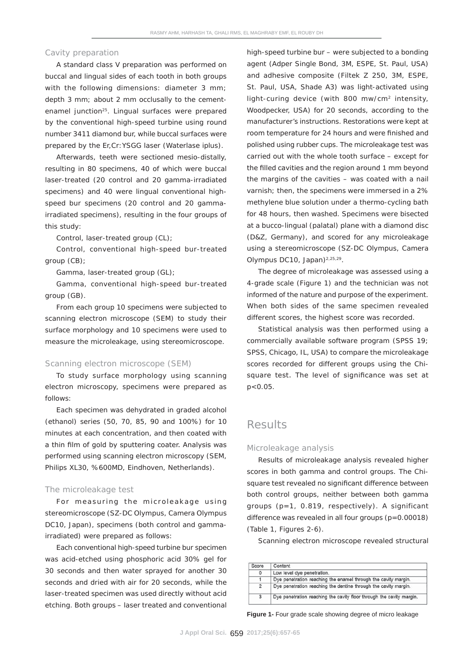#### Cavity preparation

A standard class V preparation was performed on buccal and lingual sides of each tooth in both groups with the following dimensions: diameter 3 mm; depth 3 mm; about 2 mm occlusally to the cementenamel junction<sup>25</sup>. Lingual surfaces were prepared by the conventional high-speed turbine using round number 3411 diamond bur, while buccal surfaces were prepared by the Er,Cr:YSGG laser (Waterlase iplus).

Afterwards, teeth were sectioned mesio-distally, resulting in 80 specimens, 40 of which were buccal laser-treated (20 control and 20 gamma-irradiated specimens) and 40 were lingual conventional highspeed bur specimens (20 control and 20 gammairradiated specimens), resulting in the four groups of this study:

Control, laser-treated group (CL);

Control, conventional high-speed bur-treated group (CB);

Gamma, laser-treated group (GL);

Gamma, conventional high-speed bur-treated group (GB).

From each group 10 specimens were subjected to scanning electron microscope (SEM) to study their surface morphology and 10 specimens were used to measure the microleakage, using stereomicroscope.

### Scanning electron microscope (SEM)

To study surface morphology using scanning electron microscopy, specimens were prepared as follows:

Each specimen was dehydrated in graded alcohol (ethanol) series (50, 70, 85, 90 and 100%) for 10 minutes at each concentration, and then coated with a thin film of gold by sputtering coater. Analysis was performed using scanning electron microscopy (SEM, Philips XL30, %600MD, Eindhoven, Netherlands).

#### The microleakage test

For measuring the microleakage using stereomicroscope (SZ-DC Olympus, Camera Olympus DC10, Japan), specimens (both control and gammairradiated) were prepared as follows:

Each conventional high-speed turbine bur specimen was acid-etched using phosphoric acid 30% gel for 30 seconds and then water sprayed for another 30 seconds and dried with air for 20 seconds, while the laser-treated specimen was used directly without acid etching. Both groups – laser treated and conventional high-speed turbine bur – were subjected to a bonding agent (Adper Single Bond, 3M, ESPE, St. Paul, USA) and adhesive composite (Filtek Z 250, 3M, ESPE, St. Paul, USA, Shade A3) was light-activated using light-curing device (with 800 mw/cm2 intensity, Woodpecker, USA) for 20 seconds, according to the manufacturer's instructions. Restorations were kept at room temperature for 24 hours and were finished and polished using rubber cups. The microleakage test was carried out with the whole tooth surface – except for the filled cavities and the region around 1 mm beyond the margins of the cavities – was coated with a nail varnish; then, the specimens were immersed in a 2% methylene blue solution under a thermo-cycling bath for 48 hours, then washed. Specimens were bisected at a bucco-lingual (palatal) plane with a diamond disc (D&Z, Germany), and scored for any microleakage using a stereomicroscope (SZ-DC Olympus, Camera Olympus DC10, Japan) $2,25,29$ .

The degree of microleakage was assessed using a 4-grade scale (Figure 1) and the technician was not informed of the nature and purpose of the experiment. When both sides of the same specimen revealed different scores, the highest score was recorded.

Statistical analysis was then performed using a commercially available software program (SPSS 19; SPSS, Chicago, IL, USA) to compare the microleakage scores recorded for different groups using the Chisquare test. The level of significance was set at  $p < 0.05$ .

## **Results**

#### Microleakage analysis

Results of microleakage analysis revealed higher scores in both gamma and control groups. The Chisquare test revealed no significant difference between both control groups, neither between both gamma groups (p=1, 0.819, respectively). A significant difference was revealed in all four groups (p=0.00018) (Table 1, Figures 2-6).

Scanning electron microscope revealed structural

| Score          | Content                                                              |
|----------------|----------------------------------------------------------------------|
| 0              | Low level dye penetration.                                           |
|                | Dye penetration reaching the enamel through the cavity margin.       |
| $\overline{2}$ | Dye penetration reaching the dentine through the cavity margin.      |
| 3              | Dye penetration reaching the cavity floor through the cavity margin. |

**Figure 1-** Four grade scale showing degree of micro leakage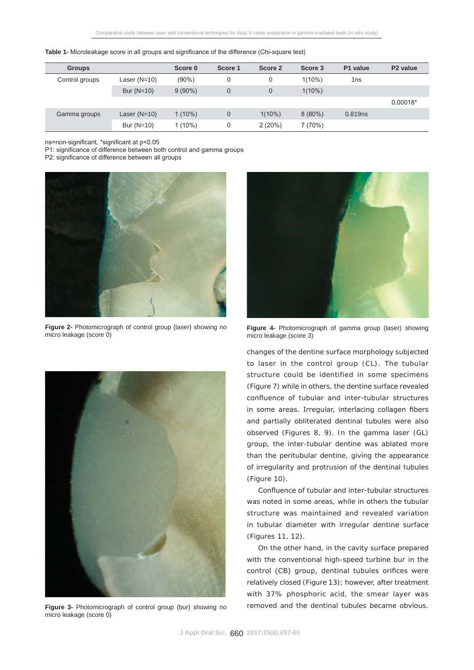| Table 1- Microleakage score in all groups and significance of the difference (Chi-square test) |  |  |  |  |
|------------------------------------------------------------------------------------------------|--|--|--|--|
|                                                                                                |  |  |  |  |

| <b>Groups</b>  |                | Score 0   | Score 1        | Score 2        | Score 3   | P1 value | P <sub>2</sub> value |
|----------------|----------------|-----------|----------------|----------------|-----------|----------|----------------------|
| Control groups | Laser $(N=10)$ | $(90\%)$  | 0              | 0              | $1(10\%)$ | 1ns      |                      |
|                | Bur $(N=10)$   | $9(90\%)$ | $\overline{0}$ | $\overline{0}$ | $1(10\%)$ |          |                      |
|                |                |           |                |                |           |          | $0.00018*$           |
| Gamma groups   | Laser $(N=10)$ | $1(10\%)$ | $\overline{0}$ | $1(10\%)$      | $8(80\%)$ | 0.819ns  |                      |
|                | Bur $(N=10)$   | l (10%)   | 0              | 2(20%)         | 7(70%)    |          |                      |

ns=non-significant, \*significant at p<0.05

P1: significance of difference between both control and gamma groups

P2: significance of difference between all groups



**Figure 2-** Photomicrograph of control group (laser) showing no micro leakage (score 0)



**Figure 3-** Photomicrograph of control group (bur) showing no micro leakage (score 0)



**Figure 4-** Photomicrograph of gamma group (laser) showing micro leakage (score 3)

changes of the dentine surface morphology subjected to laser in the control group (CL). The tubular structure could be identified in some specimens (Figure 7) while in others, the dentine surface revealed confluence of tubular and inter-tubular structures in some areas. Irregular, interlacing collagen fibers and partially obliterated dentinal tubules were also observed (Figures 8, 9). In the gamma laser (GL) group, the inter-tubular dentine was ablated more than the peritubular dentine, giving the appearance of irregularity and protrusion of the dentinal tubules (Figure 10).

Confluence of tubular and inter-tubular structures was noted in some areas, while in others the tubular structure was maintained and revealed variation in tubular diameter with irregular dentine surface (Figures 11, 12).

On the other hand, in the cavity surface prepared with the conventional high-speed turbine bur in the control (CB) group, dentinal tubules orifices were relatively closed (Figure 13); however, after treatment with 37% phosphoric acid, the smear layer was removed and the dentinal tubules became obvious.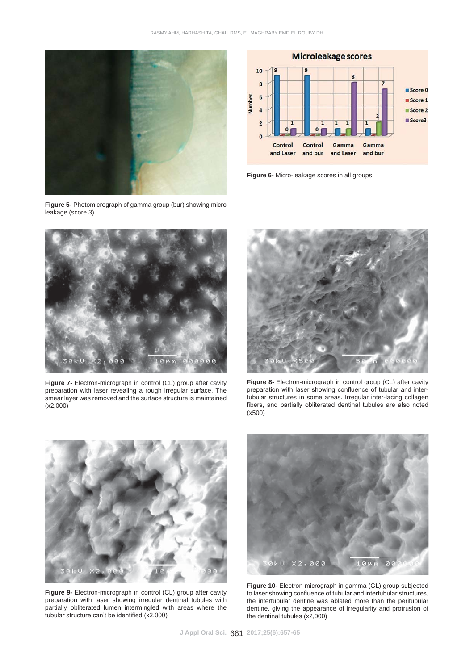

**Figure 5-** Photomicrograph of gamma group (bur) showing micro leakage (score 3)



**Figure 6-** Micro-leakage scores in all groups



**Figure 7-** Electron-micrograph in control (CL) group after cavity preparation with laser revealing a rough irregular surface. The smear layer was removed and the surface structure is maintained (x2,000)



**Figure 8-** Electron-micrograph in control group (CL) after cavity preparation with laser showing confluence of tubular and intertubular structures in some areas. Irregular inter-lacing collagen fibers, and partially obliterated dentinal tubules are also noted (x500)



**Figure 9-** Electron-micrograph in control (CL) group after cavity preparation with laser showing irregular dentinal tubules with partially obliterated lumen intermingled with areas where the tubular structure can't be identified  $(x2,000)$ 



**Figure 10-** Electron-micrograph in gamma (GL) group subjected to laser showing confluence of tubular and intertubular structures, the intertubular dentine was ablated more than the peritubular dentine, giving the appearance of irregularity and protrusion of the dentinal tubules (x2,000)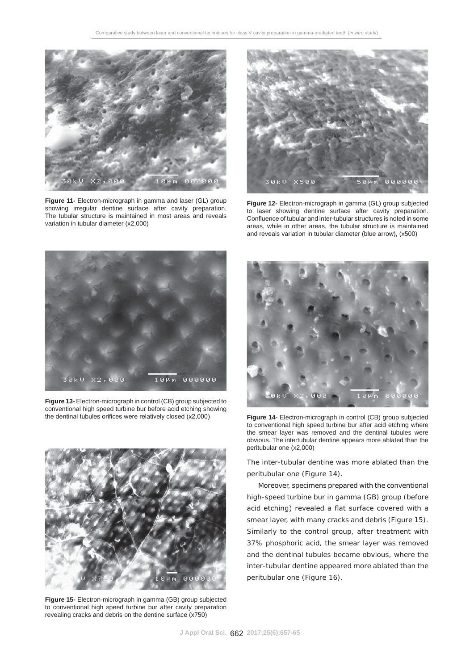

**Figure 11-** Electron-micrograph in gamma and laser (GL) group showing irregular dentine surface after cavity preparation. The tubular structure is maintained in most areas and reveals variation in tubular diameter (x2,000)



**Figure 12-** Electron-micrograph in gamma (GL) group subjected to laser showing dentine surface after cavity preparation. Confluence of tubular and inter-tubular structures is noted in some areas, while in other areas, the tubular structure is maintained and reveals variation in tubular diameter (blue arrow), (x500)



**Figure 13-** Electron-micrograph in control (CB) group subjected to conventional high speed turbine bur before acid etching showing the dentinal tubules orifices were relatively closed (x2,000) **Figure 14-** Electron-micrograph in control (CB) group subjected



**Figure 15-** Electron-micrograph in gamma (GB) group subjected to conventional high speed turbine bur after cavity preparation revealing cracks and debris on the dentine surface (x750)



to conventional high speed turbine bur after acid etching where the smear layer was removed and the dentinal tubules were obvious. The intertubular dentine appears more ablated than the peritubular one (x2,000)

The inter-tubular dentine was more ablated than the peritubular one (Figure 14).

Moreover, specimens prepared with the conventional high-speed turbine bur in gamma (GB) group (before acid etching) revealed a flat surface covered with a smear layer, with many cracks and debris (Figure 15). Similarly to the control group, after treatment with 37% phosphoric acid, the smear layer was removed and the dentinal tubules became obvious, where the inter-tubular dentine appeared more ablated than the peritubular one (Figure 16).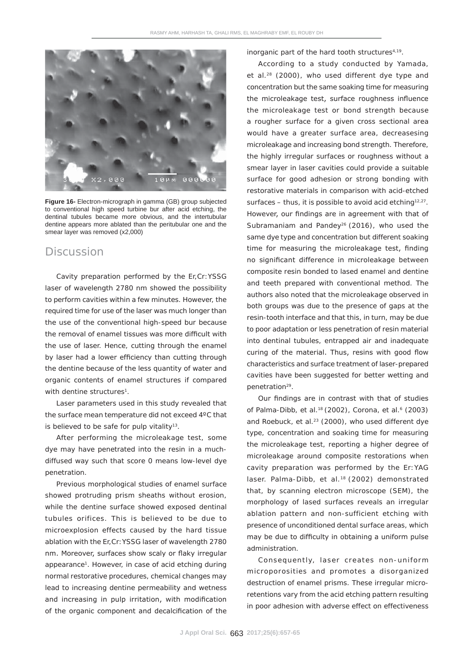

**Figure 16-** Electron-micrograph in gamma (GB) group subjected to conventional high speed turbine bur after acid etching, the dentinal tubules became more obvious, and the intertubular dentine appears more ablated than the peritubular one and the smear layer was removed (x2,000)

### Discussion

Cavity preparation performed by the Er,Cr:YSSG laser of wavelength 2780 nm showed the possibility to perform cavities within a few minutes. However, the required time for use of the laser was much longer than the use of the conventional high-speed bur because the removal of enamel tissues was more difficult with the use of laser. Hence, cutting through the enamel by laser had a lower efficiency than cutting through the dentine because of the less quantity of water and organic contents of enamel structures if compared with dentine structures<sup>1</sup>.

Laser parameters used in this study revealed that the surface mean temperature did not exceed 4ºC that is believed to be safe for pulp vitality $13$ .

After performing the microleakage test, some dye may have penetrated into the resin in a muchdiffused way such that score 0 means low-level dye penetration.

Previous morphological studies of enamel surface showed protruding prism sheaths without erosion, while the dentine surface showed exposed dentinal tubules orifices. This is believed to be due to microexplosion effects caused by the hard tissue ablation with the Er,Cr:YSSG laser of wavelength 2780 nm. Moreover, surfaces show scaly or flaky irregular appearance1. However, in case of acid etching during normal restorative procedures, chemical changes may lead to increasing dentine permeability and wetness and increasing in pulp irritation, with modification of the organic component and decalcification of the

inorganic part of the hard tooth structures<sup>4,19</sup>.

According to a study conducted by Yamada, et al.28 (2000), who used different dye type and concentration but the same soaking time for measuring the microleakage test, surface roughness influence the microleakage test or bond strength because a rougher surface for a given cross sectional area would have a greater surface area, decreasesing microleakage and increasing bond strength. Therefore, the highly irregular surfaces or roughness without a smear layer in laser cavities could provide a suitable surface for good adhesion or strong bonding with restorative materials in comparison with acid-etched surfaces – thus, it is possible to avoid acid etching<sup>12,27</sup>. However, our findings are in agreement with that of Subramaniam and Pandey<sup>26</sup> (2016), who used the same dye type and concentration but different soaking time for measuring the microleakage test, finding no significant difference in microleakage between composite resin bonded to lased enamel and dentine and teeth prepared with conventional method. The authors also noted that the microleakage observed in both groups was due to the presence of gaps at the resin-tooth interface and that this, in turn, may be due to poor adaptation or less penetration of resin material into dentinal tubules, entrapped air and inadequate curing of the material. Thus, resins with good flow characteristics and surface treatment of laser-prepared cavities have been suggested for better wetting and penetration<sup>29</sup>.

Our findings are in contrast with that of studies of Palma-Dibb, et al.<sup>18</sup> (2002), Corona, et al.<sup>6</sup> (2003) and Roebuck, et al.<sup>23</sup> (2000), who used different dye type, concentration and soaking time for measuring the microleakage test, reporting a higher degree of microleakage around composite restorations when cavity preparation was performed by the Er:YAG laser. Palma-Dibb, et al.<sup>18</sup> (2002) demonstrated that, by scanning electron microscope (SEM), the morphology of lased surfaces reveals an irregular ablation pattern and non-sufficient etching with presence of unconditioned dental surface areas, which may be due to difficulty in obtaining a uniform pulse administration.

Consequently, laser creates non-uniform microporosities and promotes a disorganized destruction of enamel prisms. These irregular microretentions vary from the acid etching pattern resulting in poor adhesion with adverse effect on effectiveness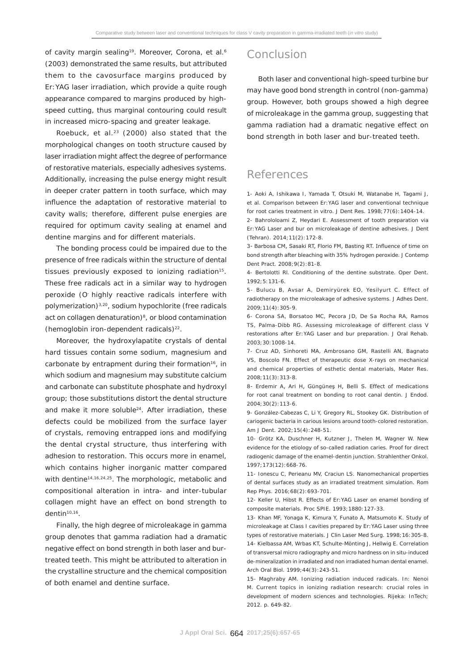of cavity margin sealing<sup>19</sup>. Moreover, Corona, et al.<sup>6</sup> (2003) demonstrated the same results, but attributed them to the cavosurface margins produced by Er:YAG laser irradiation, which provide a quite rough appearance compared to margins produced by highspeed cutting, thus marginal contouring could result in increased micro-spacing and greater leakage.

Roebuck, et al. $23$  (2000) also stated that the morphological changes on tooth structure caused by laser irradiation might affect the degree of performance of restorative materials, especially adhesives systems. Additionally, increasing the pulse energy might result in deeper crater pattern in tooth surface, which may influence the adaptation of restorative material to cavity walls; therefore, different pulse energies are required for optimum cavity sealing at enamel and dentine margins and for different materials.

The bonding process could be impaired due to the presence of free radicals within the structure of dental tissues previously exposed to ionizing radiation<sup>15</sup>. These free radicals act in a similar way to hydrogen peroxide (O- highly reactive radicals interfere with polymerization)3,20, sodium hypochlorite (free radicals act on collagen denaturation)<sup>8</sup>, or blood contamination (hemoglobin iron-dependent radicals) $^{22}$ .

Moreover, the hydroxylapatite crystals of dental hard tissues contain some sodium, magnesium and carbonate by entrapment during their formation<sup>16</sup>, in which sodium and magnesium may substitute calcium and carbonate can substitute phosphate and hydroxyl group; those substitutions distort the dental structure and make it more soluble<sup>24</sup>. After irradiation, these defects could be mobilized from the surface layer of crystals, removing entrapped ions and modifying the dental crystal structure, thus interfering with adhesion to restoration. This occurs more in enamel, which contains higher inorganic matter compared with dentine<sup>14,16,24,25</sup>. The morphologic, metabolic and compositional alteration in intra- and inter-tubular collagen might have an effect on bond strength to dentin10,16.

Finally, the high degree of microleakage in gamma group denotes that gamma radiation had a dramatic negative effect on bond strength in both laser and burtreated teeth. This might be attributed to alteration in the crystalline structure and the chemical composition of both enamel and dentine surface.

## Conclusion

Both laser and conventional high-speed turbine bur may have good bond strength in control (non-gamma) group. However, both groups showed a high degree of microleakage in the gamma group, suggesting that gamma radiation had a dramatic negative effect on bond strength in both laser and bur-treated teeth.

# References

1- Aoki A, Ishikawa I, Yamada T, Otsuki M, Watanabe H, Tagami J, et al. Comparison between Er:YAG laser and conventional technique for root caries treatment in vitro. J Dent Res. 1998;77(6):1404-14.

2- Bahrololoami Z, Heydari E. Assessment of tooth preparation via Er:YAG Laser and bur on microleakage of dentine adhesives. J Dent (Tehran). 2014;11(2):172-8.

3- Barbosa CM, Sasaki RT, Florio FM, Basting RT, Influence of time on bond strength after bleaching with 35% hydrogen peroxide. J Contemp Dent Pract. 2008;9(2):81-8.

4- Bertolotti Rl. Conditioning of the dentine substrate. Oper Dent. 1992;5:131-6.

5- Bulucu B, Avsar A, Demiryürek EO, Yesilyurt C. Effect of radiotherapy on the microleakage of adhesive systems. J Adhes Dent. 2009;11(4):305-9.

6- Corona SA, Borsatoo MC, Pecora JD, De Sa Rocha RA, Ramos TS, Palma-Dibb RG. Assessing microleakage of different class V restorations after Er:YAG Laser and bur preparation. J Oral Rehab. 2003;30:1008-14.

7- Cruz AD, Sinhoreti MA, Ambrosano GM, Rastelli AN, Bagnato VS, Boscolo FN. Effect of therapeutic dose X-rays on mechanical and chemical properties of esthetic dental materials, Mater Res. 2008;11(3):313-8.

8- Erdemir A, Ari H, Güngüneş H, Belli S. Effect of medications for root canal treatment on bonding to root canal dentin. J Endod. 2004;30(2):113-6.

9- González-Cabezas C, Li Y, Gregory RL, Stookey GK. Distribution of cariogenic bacteria in carious lesions around tooth-colored restoration. Am J Dent. 2002;15(4):248-51.

10- Grötz KA, Duschner H, Kutzner J, Thelen M, Wagner W. New evidence for the etiology of so-called radiation caries. Proof for direct radiogenic damage of the enamel-dentin junction. Strahlenther Onkol. 1997;173(12):668-76.

11- Ionescu C, Perieanu MV, Craciun LS. Nanomechanical properties of dental surfaces study as an irradiated treatment simulation. Rom Rep Phys. 2016;68(2):693-701.

12- Keller U, Hibst R. Effects of Er:YAG Laser on enamel bonding of composite materials. Proc SPIE. 1993;1880:127-33.

13- Khan MF, Yonaga K, Kimura Y, Funato A, Matsumoto K. Study of microleakage at Class I cavities prepared by Er:YAG Laser using three types of restorative materials. J Clin Laser Med Surg. 1998;16:305-8. 14- Kielbassa AM, Wrbas KT, Schulte-Mönting J, Hellwig E. Correlation of transversal micro radiography and micro hardness on *in situ*-induced de-mineralization in irradiated and non irradiated human dental enamel. Arch Oral Biol. 1999;44(3):243-51.

15- Maghraby AM. Ionizing radiation induced radicals. In: Nenoi M. Current topics in ionizing radiation research: crucial roles in development of modern sciences and technologies. Rijeka: InTech; 2012. p. 649-82.